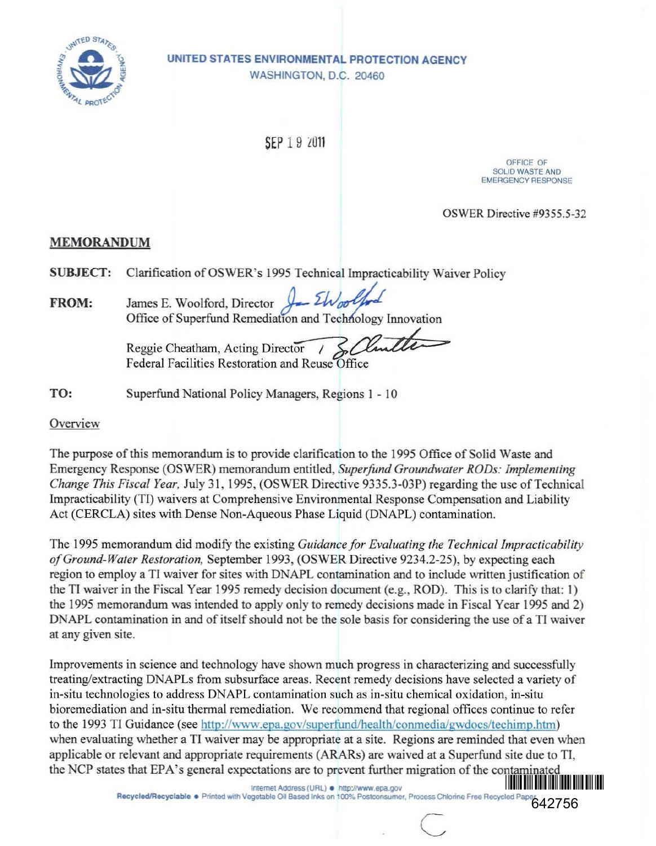

## UNITED STATES ENVIRONMENTAL PROTECTION AGENCY WASHINGTON, D.C. 20460

SEP 19 2011

OFFICE Of SOLlO WASTE AND EMEAGENCY RESPONSE

\*642756\*

OSWER Directive #9355.5-32

# MEMORANDUM

SUBJECT: Clarification of OSWER's 1995 Technical Impracticability Waiver Policy

FROM: James E. Woolford, Director J-*LW<sub>oo</sub>lffeld*<br>Office of Superfund Remediation and Technology Innovation

Reggie Cheatham, Acting Director Federal Facilities Restoration and Reuse Office

TO: Superfund National Policy Managers, Regions 1 - J0

**Overview** 

The purpose of this memorandum is to provide clarification to the 1995 Office of Solid Waste and Emergency Response (OSWER) memorandum entitled, *Superfund Groundwater RODs: Implementing Change This Fiscal Year, July 31, 1995, (OSWER Directive 9335.3-03P) regarding the use of Technical* Impracticability (TI) waivers at Comprehensive Environmental Response Compensation and Liability Act (CERCLA) sites with Dense Non-Aqueous Phase Liquid (DNAPL) contamination.

The 1995 memorandum did modify the existing *Guidance for Evaluating the Technicallrnpracticability ofGround-Water Restoration,* September 1993, (OSWER Directive 9234.2-25), by expecting each region to employ a TI waiver for sites with DNAPL contamination and to include written justification of the TI waiver in the Fiscal Year 1995 remedy decision document (e.g., ROD). This is to clarify that: I) the 1995 memorandum was intended to apply only to remedy decisions made in Fiscal Year 1995 and 2) DNAPL contamination in and of itself should not be the sole basis for considering the use of a TI waiver at any given site.

Improvements in science and technology have shown much progress in characterizing and successfully treating/extracting DNAPLs from subsurface areas. Recent remedy decisions have selected a variety of in-situ technologies to address DNAPL contamination such as in~situ chemical oxidation, in-situ bioremediation and in-situ thermal remediation. We reconunend that regional offices continue to refer to the 1993 TI Guidance (see http://www.epa.gov/superfund/health/conmedia/gwdocs/techimp.htm) when evaluating whether a TI waiver may be appropriate at a site. Regions are reminded that even when applicable or relevant and appropriate requirements (ARARs) are waived at a Superfund site due to TI, the NCP states that EPA's general expectations are to prevent further migration of the contaminated

> Internet Address (URL) · http://www.epa.gov Recycled/Recyclable . Printed with Vegetable Oil Based Inks on 100% Postconsumer, Process Chlorine Free Recycled Pap

 $\subset$ 642756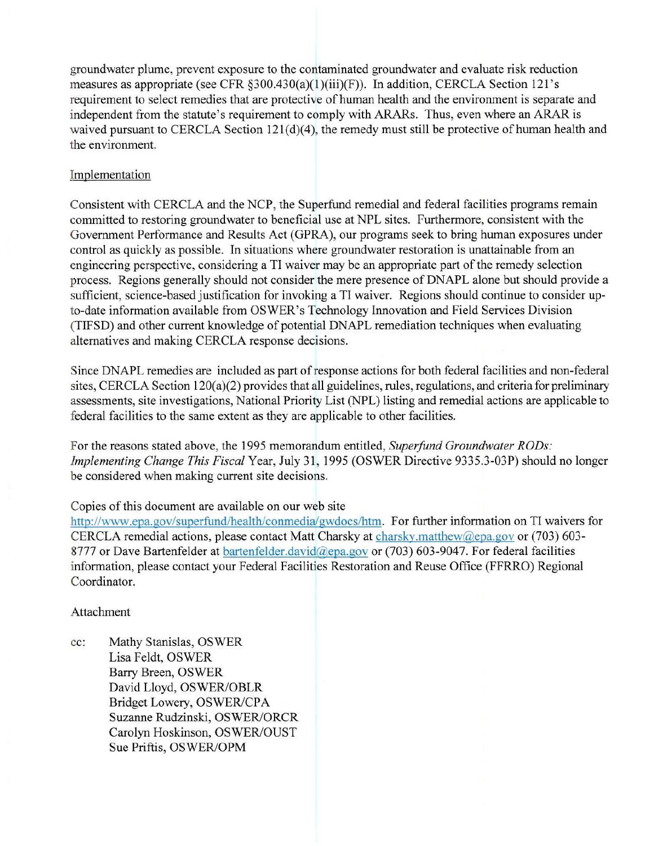groundwater plume, prevent exposure to the contaminated groundwater and evaluate risk reduction measures as appropriate (see CFR §300.430(a)(1)(iii)(F)). In addition, CERCLA Section 121's requirement to select remedies that are protective of human health and the environment is separate and independent from the statute's requirement to comply with ARARs. Thus, even where an ARAR is waived pursuant to CERCLA Section 121(d)(4), the remedy must still be protective of human health and the environment.

## Implementation

Consistent with CERCLA and the NCP, the Superfund remedial and federal facilities programs remain committed to restoring groundwater to beneficial use at NPL sites. Furthermore, consistent with the Government Performance and Results Act (GPRA), our programs seek to bring human exposures under control as quickly as possible. In situations where groundwater restoration is unattainable from an engineering perspective, considering a TI waiver may be an appropriate part of the remedy selection process. Regions generally should not consider the mere presence of DNAPL alone but should provide a sufficient, science-based justification for invoking a TI waiver. Regions should continue to consider upto-date information available from OSWER's Technology Innovation and Field Services Division (TIFSD) and other current knowledge of potential DNAPL remediation techniques when evaluating alternatives and making CERCLA response decisions.

Since DNAPL remedies are included as part of response actions for both federal facilities and non-federal sites, CERCLA Section 120(a)(2) provides that all guidelines, rules, regulations, and criteria for preliminary assessments, site investigations, National Priority List (NPL) listing and remedial actions are applicable to federal facilities to the same extent as they are applicable to other facilities.

For the reasons stated above, the 1995 memorandum entitled, *Superfund Groundwater RODs: Implementing Change This Fiscal* Year, July 31, 1995 (OSWER Directive 9335.3-03P) should no longer be considered when making current site decisions.

### Copies of this document are available on our web site

http://www.epa.gov/superfund/health/conmedia/gwdocs/htm. For further information on TI waivers for CERCLA remedial actions, please contact Matt Charsky at charsky.matthew@epa.gov or (703) 603-8777 or Dave Bartenfelder at bartenfelder.david@epa.gov or (703) 603-9047. For federal facilities information, please contact your Federal Facilities Restoration and Reuse Office (FFRRO) Regional Coordinator.

### Attachment

cc: Mathy Stanislas, OSWER Lisa Feldt, OSWER Barry Breen, OSWER David Lloyd, OSWER/OBLR Bridget Lowery, OSWER/CPA Suzanne Rudzinski, OSWER/ORCR Carolyn Hoskinson, OSWER/OUST Sue Priftis, OSWER/OPM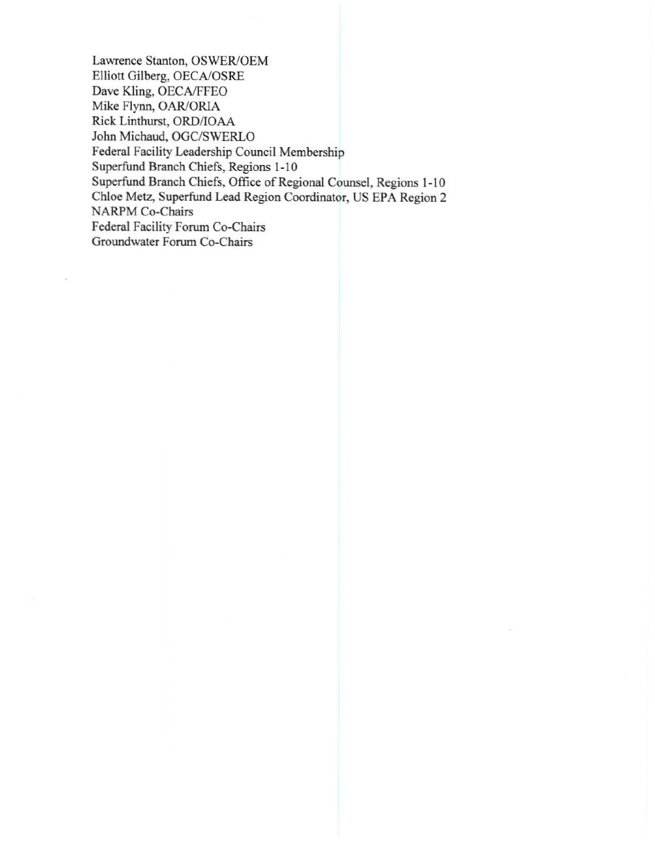Lawrence Stanton, OSWER/OEM Elliott Gilberg, OECA/OSRE Dave Kling, OECA/FFEO Mike Flynn, OAR/ORIA Rick Linthurst, ORD/IOAA John Michaud, *OGC/SWERLO* **Federal Facility Leadership Council Membership Superfund Branch Chiefs, Regions 1-10 Superfund Branch Chiefs, Office of Regional Counsel, Regions 1-10** Chloe Metz, Superfund Lead Region Coordinator, US EPA Region 2 NARPM Co-Chairs **Federal Facility Forum Co-Chairs Groundwater Forum Co-Chairs**